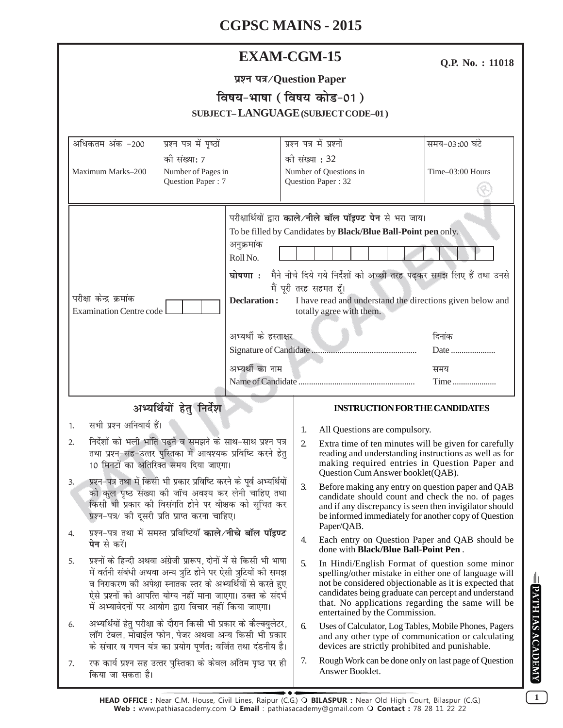| <b>EXAM-CGM-15</b>                                                                                                         |                                                                                                                               |                                         |                                                                                                                                           |                                                                                                |                                                                                                                 | Q.P. No.: 11018                                                                                                |  |
|----------------------------------------------------------------------------------------------------------------------------|-------------------------------------------------------------------------------------------------------------------------------|-----------------------------------------|-------------------------------------------------------------------------------------------------------------------------------------------|------------------------------------------------------------------------------------------------|-----------------------------------------------------------------------------------------------------------------|----------------------------------------------------------------------------------------------------------------|--|
| प्रश्न पत्र/Question Paper                                                                                                 |                                                                                                                               |                                         |                                                                                                                                           |                                                                                                |                                                                                                                 |                                                                                                                |  |
|                                                                                                                            |                                                                                                                               |                                         | विषय-भाषा (विषय कोड-01)                                                                                                                   |                                                                                                |                                                                                                                 |                                                                                                                |  |
|                                                                                                                            |                                                                                                                               |                                         |                                                                                                                                           |                                                                                                | SUBJECT-LANGUAGE (SUBJECT CODE-01)                                                                              |                                                                                                                |  |
|                                                                                                                            |                                                                                                                               |                                         |                                                                                                                                           |                                                                                                |                                                                                                                 |                                                                                                                |  |
|                                                                                                                            | अधिकतम अंक -200                                                                                                               | प्रश्न पत्र में पृष्ठों<br>की संख्या: 7 |                                                                                                                                           | प्रश्न पत्र में प्रश्नों<br>की संख्या : 32                                                     |                                                                                                                 | समय-03:00 घंटे                                                                                                 |  |
|                                                                                                                            | Maximum Marks-200                                                                                                             | Number of Pages in                      |                                                                                                                                           |                                                                                                | Number of Questions in                                                                                          | Time-03:00 Hours                                                                                               |  |
|                                                                                                                            |                                                                                                                               | Question Paper: 7                       | Question Paper: 32                                                                                                                        |                                                                                                |                                                                                                                 |                                                                                                                |  |
|                                                                                                                            |                                                                                                                               |                                         |                                                                                                                                           |                                                                                                |                                                                                                                 |                                                                                                                |  |
|                                                                                                                            |                                                                                                                               |                                         | परीक्षार्थियों द्वारा काले/नीले बॉल पॉइण्ट पेन से भरा जाय।<br>To be filled by Candidates by Black/Blue Ball-Point pen only.<br>अनुक्रमांक |                                                                                                |                                                                                                                 |                                                                                                                |  |
|                                                                                                                            |                                                                                                                               |                                         |                                                                                                                                           |                                                                                                |                                                                                                                 |                                                                                                                |  |
|                                                                                                                            |                                                                                                                               |                                         | Roll No.                                                                                                                                  |                                                                                                |                                                                                                                 |                                                                                                                |  |
|                                                                                                                            |                                                                                                                               |                                         |                                                                                                                                           |                                                                                                | घोषणा : मैने नीचे दिये गये निर्देशों को अच्छी तरह पढ़कर समझ लिए हैं तथा उनसे                                    |                                                                                                                |  |
|                                                                                                                            | परीक्षा केन्द्र क्रमांक                                                                                                       |                                         | मैं पूरी तरह सहमत हूँ।                                                                                                                    |                                                                                                |                                                                                                                 |                                                                                                                |  |
|                                                                                                                            | <b>Examination Centre code</b>                                                                                                |                                         | <b>Declaration:</b>                                                                                                                       |                                                                                                | I have read and understand the directions given below and<br>totally agree with them.                           |                                                                                                                |  |
|                                                                                                                            |                                                                                                                               |                                         | अभ्यर्थी के हस्ताक्षर                                                                                                                     |                                                                                                | दिनांक                                                                                                          |                                                                                                                |  |
|                                                                                                                            |                                                                                                                               |                                         |                                                                                                                                           |                                                                                                | Date                                                                                                            |                                                                                                                |  |
|                                                                                                                            |                                                                                                                               |                                         | अभ्यर्थी का नाम                                                                                                                           |                                                                                                | समय                                                                                                             |                                                                                                                |  |
|                                                                                                                            |                                                                                                                               |                                         |                                                                                                                                           | Time                                                                                           |                                                                                                                 |                                                                                                                |  |
|                                                                                                                            |                                                                                                                               |                                         |                                                                                                                                           |                                                                                                | <b>INSTRUCTION FOR THE CANDIDATES</b>                                                                           |                                                                                                                |  |
| अभ्यर्थियों हेतु निर्देश<br>सभी प्रश्न अनिवार्य हैं।<br>1.                                                                 |                                                                                                                               |                                         |                                                                                                                                           |                                                                                                |                                                                                                                 |                                                                                                                |  |
| 2.                                                                                                                         |                                                                                                                               |                                         |                                                                                                                                           | 1.<br>2.                                                                                       | All Questions are compulsory.<br>Extra time of ten minutes will be given for carefully                          |                                                                                                                |  |
| निर्देशों को भली भांति पढ़ने व समझने के साथ-साथ प्रश्न पत्र<br>तथा प्रश्न-सह-उत्तर पुस्तिका में आवश्यक प्रविष्टि करने हेतु |                                                                                                                               |                                         |                                                                                                                                           |                                                                                                |                                                                                                                 | reading and understanding instructions as well as for                                                          |  |
|                                                                                                                            | 10 मिनटों का अतिरिक्त समय दिया जाएगा।                                                                                         |                                         |                                                                                                                                           |                                                                                                | Question Cum Answer booklet (QAB).                                                                              | making required entries in Question Paper and                                                                  |  |
| 3.                                                                                                                         | प्रश्न–पत्र तथा में किसी भी प्रकार प्रविष्टि करने के पूर्व अभ्यर्थियों<br>को कुल पृष्ठ संख्या की जाँच अवश्य कर लेनी चाहिए तथा |                                         |                                                                                                                                           | 3.                                                                                             | Before making any entry on question paper and QAB<br>candidate should count and check the no. of pages          |                                                                                                                |  |
|                                                                                                                            | किसी भी प्रकार की विसंगति होने पर वीक्षक को सूचित कर                                                                          |                                         | Paper/QAB.                                                                                                                                |                                                                                                |                                                                                                                 | and if any discrepancy is seen then invigilator should<br>be informed immediately for another copy of Question |  |
|                                                                                                                            | प्रश्न-पत्र/ की दूसरी प्रति प्राप्त करना चाहिए।                                                                               |                                         |                                                                                                                                           |                                                                                                |                                                                                                                 |                                                                                                                |  |
|                                                                                                                            | प्रश्न-पत्र तथा में समस्त प्रविष्टियाँ काले/नीचे बॉल पॉइण्ट<br>4.<br><b>पेन</b> से करें।                                      |                                         | 4.                                                                                                                                        | Each entry on Question Paper and QAB should be<br>done with <b>Black/Blue Ball-Point Pen</b> . |                                                                                                                 |                                                                                                                |  |
| 5.                                                                                                                         |                                                                                                                               |                                         | प्रश्नों के हिन्दी अथवा अंग्रेजी प्रारूप, दोनों में से किसी भी भाषा<br>में वर्तनी संबंधी अथवा अन्य त्रुटि होने पर ऐसी त्रुटियों की समझ    |                                                                                                | In Hindi/English Format of question some minor                                                                  |                                                                                                                |  |
|                                                                                                                            | व निराकरण की अपेक्षा स्नातक स्तर के अभ्यर्थियों से करते हुए                                                                   |                                         |                                                                                                                                           |                                                                                                | spelling/other mistake in either one of language will<br>not be considered objectionable as it is expected that |                                                                                                                |  |
|                                                                                                                            | ऐसे प्रश्नों को आपत्ति योग्य नहीं माना जाएगा। उक्त के संदर्भ<br>में अभ्यावेदनों पर आयोग द्वारा विचार नहीं किया जाएगा।         |                                         |                                                                                                                                           |                                                                                                |                                                                                                                 | candidates being graduate can percept and understand<br>that. No applications regarding the same will be       |  |
| 6.                                                                                                                         |                                                                                                                               |                                         |                                                                                                                                           | 6.                                                                                             | entertained by the Commission.<br>Uses of Calculator, Log Tables, Mobile Phones, Pagers                         |                                                                                                                |  |
| अभ्यर्थियों हेतु परीक्षा के दौरान किसी भी प्रकार के कैल्क्युलेटर,<br>लॉग टेबल, मोबाईल फोन, पेजर अथवा अन्य किसी भी प्रकार   |                                                                                                                               |                                         |                                                                                                                                           |                                                                                                | and any other type of communication or calculating                                                              |                                                                                                                |  |
|                                                                                                                            | के संचार व गणन यंत्र का प्रयोग पूर्णत: वर्जित तथा दंडनीय है।                                                                  |                                         |                                                                                                                                           | 7.                                                                                             | devices are strictly prohibited and punishable.<br>Rough Work can be done only on last page of Question         |                                                                                                                |  |
| 7.                                                                                                                         | रफ कार्य प्रश्न सह उत्तर पुस्तिका के केवल अंतिम पृष्ठ पर ही<br>किया जा सकता है।                                               |                                         |                                                                                                                                           |                                                                                                | Answer Booklet.                                                                                                 |                                                                                                                |  |

**1**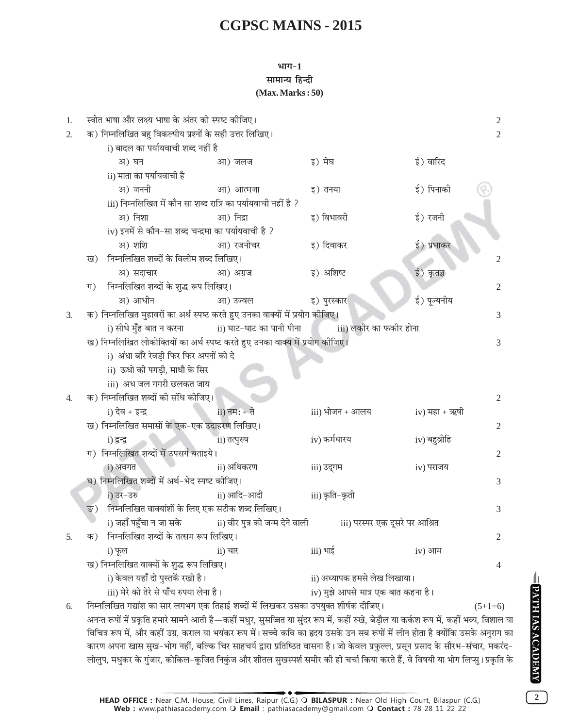#### भाग $-1$ सामान्य हिन्दी  $(Max. Marks: 50)$

| 1. |                                                                                                                                 | स्त्रोत भाषा और लक्ष्य भाषा के अंतर को स्पष्ट कीजिए।                                                                                     |                |                                     |                 | 2              |
|----|---------------------------------------------------------------------------------------------------------------------------------|------------------------------------------------------------------------------------------------------------------------------------------|----------------|-------------------------------------|-----------------|----------------|
| 2. |                                                                                                                                 | क) निम्नलिखित बहु विकल्पीय प्रश्नों के सही उत्तर लिखिए।                                                                                  |                |                                     |                 | $\overline{2}$ |
|    |                                                                                                                                 | i) बादल का पर्यायवाची शब्द नहीं है                                                                                                       |                |                                     |                 |                |
|    |                                                                                                                                 | अ) घन                                                                                                                                    | आ) जलज         | इ) मेघ                              | ई) वारिद        |                |
|    |                                                                                                                                 | ii) माता का पर्यायवाची है                                                                                                                |                |                                     |                 |                |
|    |                                                                                                                                 | अ) जननी                                                                                                                                  | आ) आत्मजा      | इ) तनया                             | ई) पिनाकी       |                |
|    |                                                                                                                                 | iii) निम्नलिखित में कौन सा शब्द रात्रि का पर्यायवाची नहीं है ?                                                                           |                |                                     |                 |                |
|    |                                                                                                                                 | अ) निशा                                                                                                                                  | आ) निद्रा      | इ) विभावरी                          | ई) रजनी         |                |
|    |                                                                                                                                 | iv) इनमें से कौन-सा शब्द चन्द्रमा का पर्यायवाची है ?                                                                                     |                |                                     |                 |                |
|    |                                                                                                                                 | अ) शशि                                                                                                                                   | आ) रजनीचर      | इ) दिवाकर                           | ई) प्रभाकर      |                |
|    | ख)                                                                                                                              | निम्नलिखित शब्दों के विलोम शब्द लिखिए।                                                                                                   |                |                                     |                 | 2              |
|    |                                                                                                                                 | अ) सदाचार                                                                                                                                | आ) अग्रज       | इ) अशिष्ट                           | ई) कृतज्ञ       |                |
|    | ग)                                                                                                                              | निम्नलिखित शब्दों के शुद्ध रूप लिखिए।                                                                                                    |                |                                     |                 | 2              |
|    |                                                                                                                                 | अ) आधीन                                                                                                                                  | आ) उज्वल       | इ) पुरस्कार                         | ई) पूज्यनीय     |                |
| 3. |                                                                                                                                 | क) निम्नलिखित मुहावरों का अर्थ स्पष्ट करते हुए उनका वाक्यों में प्रयोग कोजिए।                                                            |                |                                     |                 | 3              |
|    |                                                                                                                                 | i) सीधे मुँह बात न करना                                   ii) घाट-घाट का पानी पीना                           iii) लकीर का फकीर होना      |                |                                     |                 |                |
|    |                                                                                                                                 | ख) निम्नलिखित लोकोक्तियों का अर्थ स्पष्ट करते हुए उनका वाक्य में प्रयोग कोजिए।                                                           |                |                                     |                 | 3              |
|    |                                                                                                                                 | i) अंधा बाँरे रेवड़ी फिर फिर अपनों को दे                                                                                                 |                |                                     |                 |                |
|    |                                                                                                                                 | ii) ऊधो की पगड़ी, माधौ के सिर                                                                                                            |                |                                     |                 |                |
|    |                                                                                                                                 | iii) अध जल गगरी छलकत जाय                                                                                                                 |                |                                     |                 |                |
| 4. |                                                                                                                                 | क) निम्नलिखित शब्दों की संधि कीजिए।                                                                                                      |                |                                     |                 | 2              |
|    |                                                                                                                                 | $i)$ देव + इन्द्र                                                                                                                        | $ii)$ नम: + ते | iii) भोजन + आलय                     | $iv)$ महा + ऋषी |                |
|    |                                                                                                                                 | ख) निम्नलिखित समासों के एक-एक उदाहरण लिखिए।                                                                                              |                |                                     |                 | $\overline{2}$ |
|    |                                                                                                                                 | i) द्वन्द्व                                                                                                                              | ii) तत्पुरुष   | iv) कर्मधारय                        | iv) बहुव्रीहि   |                |
|    |                                                                                                                                 | ग) निम्नलिखित शब्दों में उपसर्ग बताइये।                                                                                                  |                |                                     |                 | 2              |
|    |                                                                                                                                 | i) अवगत                                                                                                                                  | ii) अधिकरण     | iii) उद्गम                          | iv) पराजय       |                |
|    |                                                                                                                                 | घ) निम्नलिखित शब्दों में अर्थ-भेद स्पष्ट कीजिए।                                                                                          |                |                                     |                 | 3              |
|    |                                                                                                                                 | i) उर-उरु                                                                                                                                | ii) आदि-आदी    | iii) कृति-कृती                      |                 |                |
|    | ङ)                                                                                                                              | निम्नलिखित वाक्यांशों के लिए एक सटीक शब्द लिखिए।                                                                                         |                |                                     |                 | 3              |
|    |                                                                                                                                 | i) जहाँ पहुँचा न जा सके                         ii) वीर पुत्र को जन्म देने वाली                                                          |                | iii) परस्पर एक दूसरे पर आश्रित      |                 |                |
| 5. | क)                                                                                                                              | निम्नलिखित शब्दों के तत्सम रूप लिखिए।                                                                                                    |                |                                     |                 | 2              |
|    |                                                                                                                                 | i) फूल                                                                                                                                   | $ii)$ चार      | iii) भाई                            | $iv)$ आम        |                |
|    |                                                                                                                                 | ख) निम्नलिखित वाक्यों के शुद्ध रूप लिखिए।                                                                                                |                |                                     |                 | 4              |
|    |                                                                                                                                 | i) केवल यहाँ दो पुस्तकें रखी है।                                                                                                         |                | ii) अध्यापक हमसे लेख लिखाया।        |                 |                |
|    |                                                                                                                                 | iii) मेरे को तेरे से पाँच रुपया लेना है।                                                                                                 |                | iv) मुझे आपसे मात्र एक बात कहना है। |                 |                |
| 6. |                                                                                                                                 | निम्नलिखित गद्यांश का सार लगभग एक तिहाई शब्दों में लिखकर उसका उपयुक्त शीर्षक दीजिए।                                                      |                |                                     |                 | $(5+1=6)$      |
|    |                                                                                                                                 | अनन्त रूपों में प्रकृति हमारे सामने आती है—कहीं मधुर, सुसज्जित या सुंदर रूप में, कहीं रुखे, बेड़ौल या कर्कश रूप में, कहीं भव्य, विशाल या |                |                                     |                 |                |
|    | विचित्र रूप में, और कहीं उग्र, कराल या भयंकर रूप में। सच्चे कवि का हृदय उसके उन सब रूपों में लीन होता है क्योंकि उसके अनुराग का |                                                                                                                                          |                |                                     |                 |                |
|    |                                                                                                                                 | कारण अपना खास सुख-भोग नहीं, बल्कि चिर साहचर्य द्वारा प्रतिष्ठित वासना है। जो केवल प्रफुल्ल, प्रसून प्रसाद के सौरभ-संचार, मकरंद-          |                |                                     |                 |                |

PATH IAS ACADEMY

HEAD OFFICE : Near C.M. House, Civil Lines, Raipur (C.G.) O BILASPUR : Near Old High Court, Bilaspur (C.G.)<br>Web : www.pathiasacademy.com O Email : pathiasacademy@gmail.com O Contact : 78 28 11 22 22

लोलुप, मधुकर के गुंजार, कोकिल-कूजित निकुंज और शीतल सुखस्पर्श समीर की ही चर्चा किया करते हैं, वे विषयी या भोग लिप्सु। प्रकृति के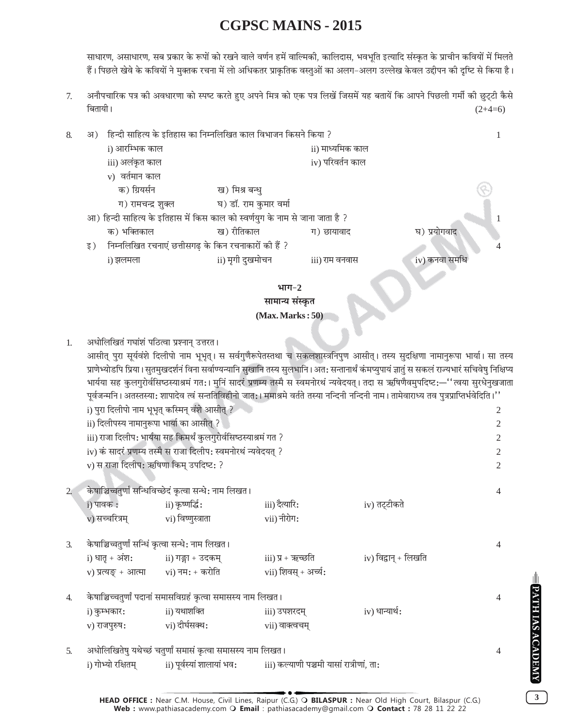साधारण, असाधारण, सब प्रकार के रूपों को रखने वाले वर्णन हमें वाल्मिकी, कालिदास, भवभूति इत्यादि संस्कृत के प्राचीन कवियों में मिलते हैं। पिछले खेवे के कवियों ने मुक्तक रचना में लो अधिकतर प्राकृतिक वस्तुओं का अलग–अलग उल्लेख केवल उद्दीपन की दृष्टि से किया है।

अनौपचारिक पत्र की अवधारणा को स्पष्ट करते हुए अपने मित्र को एक पत्र लिखें जिसमें यह बतायें कि आपने पिछली गर्मी की छुट्टी कैसे  $7.$ बितायी।  $(2+4=6)$ 

| 8. |     | अ) हिन्दी साहित्य के इतिहास का निम्नलिखित काल विभाजन किसने किया ? |                                                                               |                  |                                   |  |
|----|-----|-------------------------------------------------------------------|-------------------------------------------------------------------------------|------------------|-----------------------------------|--|
|    |     | i) आरम्भिक काल                                                    |                                                                               | ii) माध्यमिक काल |                                   |  |
|    |     | iii) अलंकृत काल                                                   |                                                                               | iv) परिवर्तन काल |                                   |  |
|    |     | v) वर्तमान काल                                                    |                                                                               |                  |                                   |  |
|    |     | क) ग्रियर्सन                                                      | ख) मिश्र बन्धु                                                                |                  |                                   |  |
|    |     | ग) रामचन्द्र शुक्ल                                                | घ) डॉ. राम कुमार वर्मा                                                        |                  |                                   |  |
|    |     |                                                                   | आ) हिन्दी साहित्य के इतिहास में किस काल को स्वर्णयुग के नाम से जाना जाता है ? |                  |                                   |  |
|    |     | क) भक्तिकाल                                                       | ख) रीतिकाल                                                                    | ग) छायावाद       | घ) प्रयोगवाद                      |  |
|    | इ ) | निम्नलिखित रचनाएं छत्तीसगढ़ के किन रचनाकारों की हैं ?             |                                                                               |                  |                                   |  |
|    |     | <u>i)</u> झलमला                                                   | ii) मृगी दुखमोचन                                                              | iii) राम वनवास   | iv) कनवा समर्थि                   |  |
|    |     |                                                                   |                                                                               |                  | <b>Contract Contract Contract</b> |  |



#### अधोलिखितं गघांशं पठित्वा प्रश्नान् उत्तरत।  $1.$

आसीत् पुरा सूर्यवंशे दिलीपो नाम भूभृत्। स सर्वगुणैरूपेतस्तथा च सकलशास्त्रनिपुण आसीत्। तस्य सुदक्षिणा नामानुरूपा भार्या। सा तस्य प्राणेभ्योडपि प्रिया। सुतमुखदर्शनं विना सर्वाण्यन्यानि सुखानि तस्य सुलभानि। अत: सन्तानार्थं कंमप्युपायं ज्ञातुं स सकलं राज्यभारं सचिवेषु निक्षिप्य भार्यया सह कुलगुरोर्वसिष्ठस्याश्रमं गत:। मुनिं सादरं प्रणम्य तस्मै स स्वमनोरथं न्यवेदयत्। तदा स ऋषिणैवमुपदिष्ट:—''त्वया सुरधेनुखजाता पूर्वजन्मनि । अतस्तस्या: शापादेव त्वं सन्ततिविहीनो जात: । ममाश्रमे वर्तते तस्या नन्दिनी नन्दिनी नाम । तामेवाराध्य तव पुत्रप्राप्तिर्भवेदिति ।''

|                  | i) पुरा दिलीपो नाम भूभृत् कस्मिन् वंशे आसीत् ?                                                          |                                                                               |                               |                      | 2              |  |
|------------------|---------------------------------------------------------------------------------------------------------|-------------------------------------------------------------------------------|-------------------------------|----------------------|----------------|--|
|                  | ii) दिलीपस्य नामानुरूपा भार्या का आसीत् ?                                                               |                                                                               |                               |                      |                |  |
|                  | iii) राजा दिलीप: भार्यया सह किमर्थं कुलगुरोर्वसिष्ठस्याश्रमं गत ?                                       |                                                                               |                               |                      |                |  |
|                  |                                                                                                         | iv) कं सादरं प्रणम्य तस्मै स राजा दिलीप: स्वमनोरथं न्यवेदयत् ?                |                               |                      | 2              |  |
|                  | v) स राजा दिलीप: ऋषिणा किम् उपदिष्ट: ?                                                                  |                                                                               |                               |                      | $\mathfrak{D}$ |  |
|                  | $\mathbf i$ ) पावक $\mathbf x$ :<br>v) सच्चरित्रम्                                   vi) विष्णुस्त्राता | केषाञ्चिच्चतुर्णां सन्धिविच्छेदं कृत्वा सन्धे: नाम लिखत ।<br>ii) कृष्णर्द्धिः | iii) दैत्यारि:<br>vii) नीरोग: | iv) तट्टीकते         | $\overline{4}$ |  |
| $\mathfrak{Z}$ . | केषाञ्चिच्चतुर्णां सन्धिं कृत्वा सन्धे: नाम लिखत ।                                                      |                                                                               |                               |                      | 4              |  |
|                  | i) धातृ + अंश:                         ii) गङ्गा + उदकम्                                                |                                                                               | iii) प्र + ऋच्छति             | iv) विद्वान् + लिखति |                |  |
|                  |                                                                                                         | v) प्रत्यङ् + आत्मा        vi) नम: + करोति                                    | vii) शिवस् + अर्च्य:          |                      |                |  |
| $\overline{4}$ . |                                                                                                         | केषाञ्चिच्चतुर्णां पदानां समासविग्रहं कृत्वा समासस्य नाम लिखत।                |                               |                      |                |  |
|                  | i) कुम्भकार:                                                                                            | ii) यथाशक्ति                                                                  | iii) उपशरदम्                  | iv) धान्यार्थ:       |                |  |
|                  | v) राजपुरुष:                     vi) दीर्घसक्थ:                                                         |                                                                               | vii) वाक्त्वचम्               |                      |                |  |
| 5 <sub>1</sub>   |                                                                                                         | अधोलिखितेषु यथेच्छं चतुर्णां समासं कृत्वा समासस्य नाम लिखत ।                  |                               |                      |                |  |

i) गोभ्यो रक्षितम iii) कल्याणी पञ्चमी यासां रात्रीणां. ता: ii) पूर्वस्यां शालायां भव: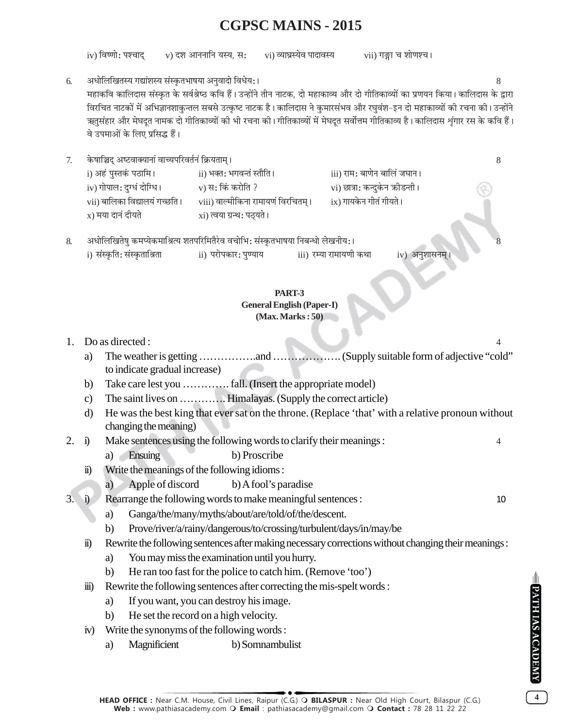iv) विष्णो: पश्चाद v) दश आननानि यस्य, स: vi) व्याघ्रस्येव पादावस्य vii) गङ्गा च शोणश्च।

अधोलिखितस्य गद्यांशस्य संस्कृतभाषया अनुवादो विधेय:। 6. महाकवि कालिदास संस्कत के सर्वश्रेष्ठ कवि हैं। उन्होंने तीन नाटक, दो महाकाव्य और दो गीतिकाव्यों का प्रणयन किया। कालिदास के द्वारा विरचित नाटकों में अभिज्ञानशाकुन्तल सबसे उत्कृष्ट नाटक है। कालिदास ने कुमारसंभव और रघवंश–इन दो महाकाव्यों की रचना की। उन्होंने ऋतुसंहार और मेघदत नामक दो गीतिकाव्यों की भी रचना की। गीतिकाव्यों में मेघदत सर्वोत्तम गीतिकाव्य है। कालिदास शृंगार रस के कवि हैं। वे उपमाओं के लिए प्रसिद्ध हैं।

केषाञ्चिद् अष्टवाक्यानां वाच्यपरिवर्तनं क्रियताम् ।  $7.$ i) अहं पस्तकं पठामि । ।।) भक्त• भगवन्तं स्तौति ।

| ) अहं पुस्तकं पठामि।           | ii) भक्त: भगवन्तं स्तौति ।          | iii) राम: बाणेन बालिं जघान।     |
|--------------------------------|-------------------------------------|---------------------------------|
| v) गोपाल: दुग्धं दोग्धि ।      | v) स: किं करोति ?                   | vi) छात्रा: कन्दुकेन क्रीडन्ती। |
| vii) बालिका विद्यालयं गच्छति । | viii) वाल्मीकिना रामायणं विरचितम् । | ix) गायकेन गीतं गीयते ।         |
| <sub>к</sub> ) मया दानं दीयते  | xi) त्वया ग्रन्थ: पठ्यते ।          |                                 |

अधोलिखितेषु कमप्येकमाश्रित्य शतपरिमितैरेव वचोभि: संस्कृतभाषया निबन्धो लेखनीय: । 8. i) संस्कति: संस्कताश्रिता ii) परोपकार: पण्याय iii) रम्या रामायणी कथा iv) अनशासनम

#### **PART-3 General English (Paper-I)**  $(Max, Marks:50)$

### 1. Do as directed :

- a) to indicate gradual increase)
- $b)$
- The saint lives on .............. Himalayas. (Supply the correct article)  $c)$
- He was the best king that ever sat on the throne. (Replace 'that' with a relative pronoun without d) changing the meaning)
- Make sentences using the following words to clarify their meanings:  $2. i)$ 
	- a) Ensuing b) Proscribe
	- Write the meanings of the following idioms:  $\ddot{\mathbf{n}}$ 
		- $a)$ Apple of discord b) A fool's paradise
- $3.$ Rearrange the following words to make meaningful sentences :  $\ddot{\mathbf{i}}$ 
	- a) Ganga/the/many/myths/about/are/told/of/the/descent.
	- Prove/river/a/rainy/dangerous/to/crossing/turbulent/days/in/may/be  $b)$
	- Rewrite the following sentences after making necessary corrections without changing their meanings : ii)
		- You may miss the examination until you hurry. a)
		- $b)$ He ran too fast for the police to catch him. (Remove 'too')
	- Rewrite the following sentences after correcting the mis-spelt words:  $\dddot{\mathbf{m}}$ 
		- If you want, you can destroy his image. a)
		- $b)$ He set the record on a high velocity.
	- Write the synonyms of the following words:  $iv)$ 
		- a) Magnificient b) Somnambulist

 $\overline{\mathbf{4}}$ 

8

 $\overline{4}$ 

 $10$ 

HEAD OFFICE : Near C.M. House, Civil Lines, Raipur (C.G.) O BILASPUR : Near Old High Court, Bilaspur (C.G.) Web: www.pathiasacademy.com O Email: pathiasacademy@gmail.com O Contact: 78 28 11 22 22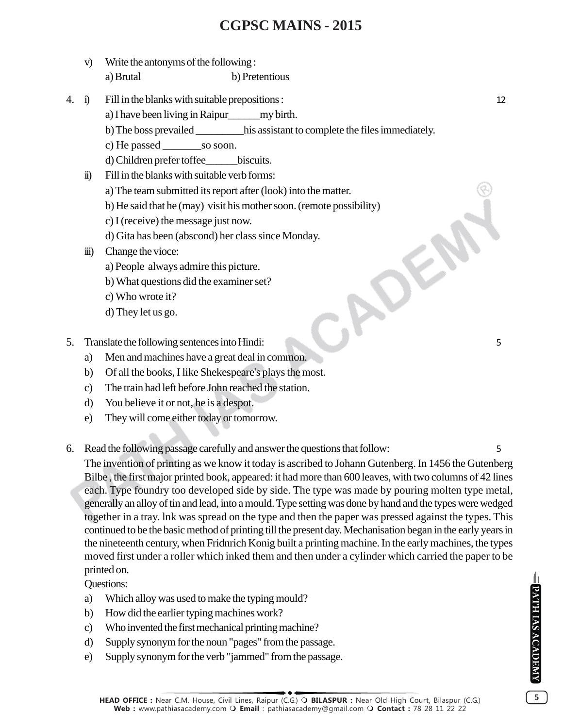- v) Write the antonyms of the following : a) Brutal b) Pretentious
- 4. i) Fill in the blanks with suitable prepositions : 12
	- a) I have been living in Raipur\_\_\_\_\_\_my birth.
	- b) The boss prevailed \_\_\_\_\_\_\_\_\_his assistant to complete the files immediately.
	- c) He passed \_\_\_\_\_\_\_\_\_\_so soon.
	- d) Children prefer toffee\_\_\_\_\_\_biscuits.
	- ii) Fill in the blanks with suitable verb forms:
		- a) The team submitted its report after (look) into the matter.
		- b) He said that he (may) visit his mother soon. (remote possibility)
		- c) I (receive) the message just now.
- d) Gita has been (abscond) her class since Monday. Example 1988<br>
1988 Communication (1988)<br>
1989 Communication (1989)<br>
1989 Communication (1999)<br>
1989 Communication (1999)<br>
1989 Communication (1999)<br>
1989 Communication (1999)<br>
1989 Communication (1999)<br>
1999 Communication
	- iii) Change the vioce:
		- a) People always admire this picture.
		- b) What questions did the examiner set?
		- c) Who wrote it?
		- d) They let us go.
- - a) Men and machines have a great deal in common.
	- b) Of all the books, I like Shekespeare's plays the most.
	- c) The train had left before John reached the station.
	- d) You believe it or not, he is a despot.
	- e) They will come either today or tomorrow.
- 6. Read the following passage carefully and answer the questions that follow: 5

The invention of printing as we know it today is ascribed to Johann Gutenberg. In 1456 the Gutenberg Bilbe , the first major printed book, appeared: it had more than 600 leaves, with two columns of 42 lines each. Type foundry too developed side by side. The type was made by pouring molten type metal, generally an alloy of tin and lead, into a mould. Type setting was done by hand and the types were wedged together in a tray. lnk was spread on the type and then the paper was pressed against the types. This continued to be the basic method of printing till the present day. Mechanisation began in the early years in the nineteenth century, when Fridnrich Konig built a printing machine. In the early machines, the types moved first under a roller which inked them and then under a cylinder which carried the paper to be printed on.

Questions:

- a) Which alloy was used to make the typing mould?
- b) How did the earlier typing machines work?
- c) Who invented the first mechanical printing machine?
- d) Supply synonym for the noun "pages" from the passage.
- e) Supply synonym for the verb "jammed" from the passage.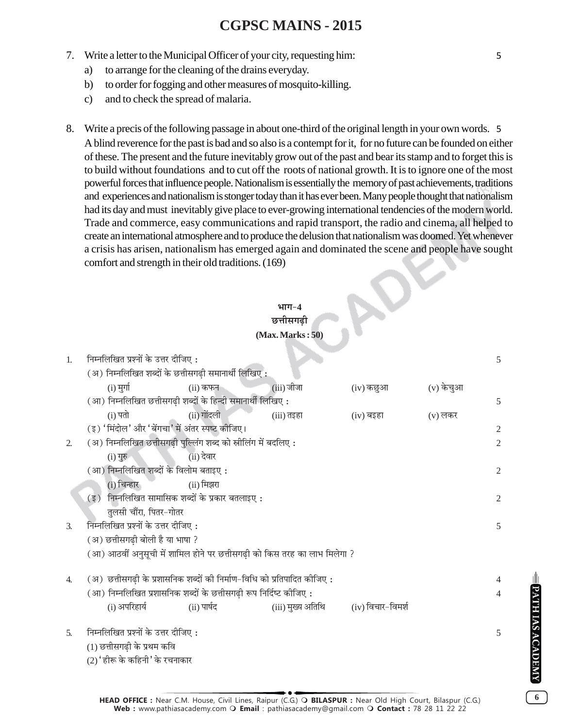- 7. Write a letter to the Municipal Officer of your city, requesting him: 5
	- a) to arrange for the cleaning of the drains everyday.
	- b) to order for fogging and other measures of mosquito-killing.
	- c) and to check the spread of malaria.
- 8. Write a precis of the following passage in about one-third of the original length in your own words. 5 A blind reverence for the past is bad and so also is a contempt for it, for no future can be founded on either of these. The present and the future inevitably grow out of the past and bear its stamp and to forget this is to build without foundations and to cut off the roots of national growth. It is to ignore one of the most powerful forces that influence people. Nationalism is essentially the memory of past achievements, traditions and experiences and nationalism is stonger today than it has ever been. Many people thought that nationalism had its day and must inevitably give place to ever-growing international tendencies of the modern world. Trade and commerce, easy communications and rapid transport, the radio and cinema, all helped to create an international atmosphere and to produce the delusion that nationalism was doomed. Yet whenever a crisis has arisen, nationalism has emerged again and dominated the scene and people have sought comfort and strength in their old traditions. (169)

### $4$ TTT $-4$ **छत्तीसगढी**

 $\mathbf{v}$ 

#### **(Max. Marks : 50)**

| 1. | निम्नलिखित प्रश्नों के उत्तर दीजिए :                                      | 5              |
|----|---------------------------------------------------------------------------|----------------|
|    | (अ) निम्नलिखित शब्दों के छत्तीसगढ़ी समानार्थी लिखिए:                      |                |
|    | $(iii)$ जीजा<br>(v) केचुआ<br>$(i)$ मुर्गा<br>$(ii)$ कफन<br>(iv) कछुआ      |                |
|    | (आ) निम्नलिखित छत्तीसगढ़ी शब्दों के हिन्दी समानार्थी लिखिए:               | 5              |
|    | $(i)$ पतो<br>(ii) गोंदली<br>(iii) तइहा<br>$(v)$ लकर<br>(iv) बइहा          |                |
|    | (इ) 'मिंदोल' और 'बेंगचा' में अंतर स्पष्ट कीजिए।                           | 2              |
| 2. | (अ) निम्नलिखित छत्तीसगढ़ी पुल्लिंग शब्द को स्रीलिंग में बदलिए:            | $\overline{2}$ |
|    | $(ii)$ देवार<br>$(i)$ गुरु                                                |                |
|    | (आ) निम्नलिखित शब्दों के विलोम बताइए :                                    | 2              |
|    | (i) चिन्हार<br>(ii) मिझरा                                                 |                |
|    | $(3)$ निम्नलिखित सामासिक शब्दों के प्रकार बतलाइए:                         | 2              |
|    | तुलसी चौंरा, पितर-गोतर                                                    |                |
| 3. | निम्नलिखित प्रश्नों के उत्तर दीजिए:                                       | 5              |
|    | (अ) छत्तीसगढी बोली है या भाषा ?                                           |                |
|    | (आ) आठवीं अनुसूची में शामिल होने पर छत्तीसगढ़ी को किस तरह का लाभ मिलेगा ? |                |
|    |                                                                           |                |
| 4. | (अ) छत्तीसगढ़ी के प्रशासनिक शब्दों की निर्माण-विधि को प्रतिपादित कीजिए :  |                |
|    | (आ) निम्नलिखित प्रशासनिक शब्दों के छत्तीसगढ़ी रूप निर्दिष्ट कीजिए :       | 4              |
|    | (i) अपरिहार्य<br>(ii) पार्षद<br>(iii) मुख्य अतिथि (iv) विचार-विमर्श       |                |
| 5. | निम्नलिखित प्रश्नों के उत्तर दीजिए:                                       | 5              |
|    |                                                                           |                |
|    | (1) छत्तीसगढी के प्रथम कवि                                                |                |

 $(2)$ ' हीरू के कहिनी' के रचनाकार